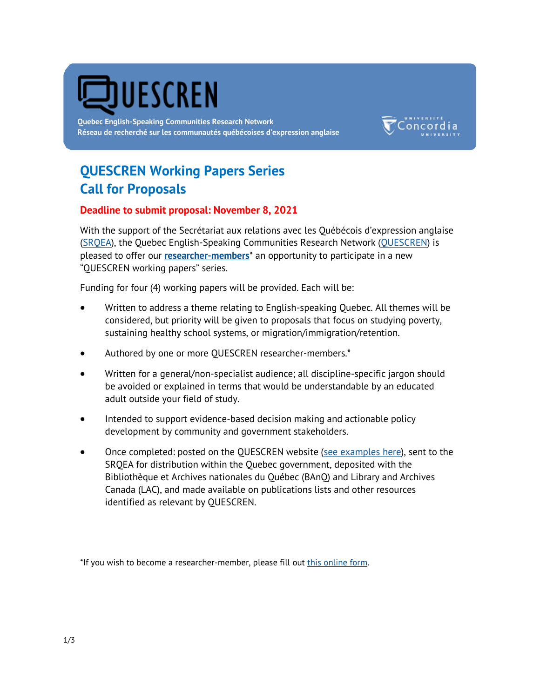

**Quebec English-Speaking Communities Research Network Réseau de recherché sur les communautés québécoises d'expression anglaise**



# **QUESCREN Working Papers Series Call for Proposals**

### **Deadline to submit proposal: November 8, 2021**

With the support of the Secrétariat aux relations avec les Québécois d'expression anglaise ([SRQEA\)](https://www.quebec.ca/en/government/departments-and-agencies/srqea), the Quebec English-Speaking Communities Research Network ([QUESCREN\)](http://www.concordia.ca/artsci/scpa/quescren.html) is pleased to offer our **[researcher-members](http://www.concordia.ca/artsci/scpa/quescren/researchers.html)**\* an opportunity to participate in a new "QUESCREN working papers" series.

Funding for four (4) working papers will be provided. Each will be:

- Written to address a theme relating to English-speaking Quebec. All themes will be considered, but priority will be given to proposals that focus on studying poverty, sustaining healthy school systems, or migration/immigration/retention.
- Authored by one or more QUESCREN researcher-members.\*
- Written for a general/non-specialist audience; all discipline-specific jargon should be avoided or explained in terms that would be understandable by an educated adult outside your field of study.
- Intended to support evidence-based decision making and actionable policy development by community and government stakeholders.
- Once completed: posted on the QUESCREN website [\(see examples here\),](http://www.concordia.ca/artsci/scpa/quescren/resources/research.html) sent to the SRQEA for distribution within the Quebec government, deposited with the Bibliothèque et Archives nationales du Québec (BAnQ) and Library and Archives Canada (LAC), and made available on publications lists and other resources identified as relevant by QUESCREN.

\*If you wish to become a researcher-member, please fill out [this online form.](https://www.concordia.ca/artsci/scpa/quescren/researchers/researcher-member-directory-form0.html)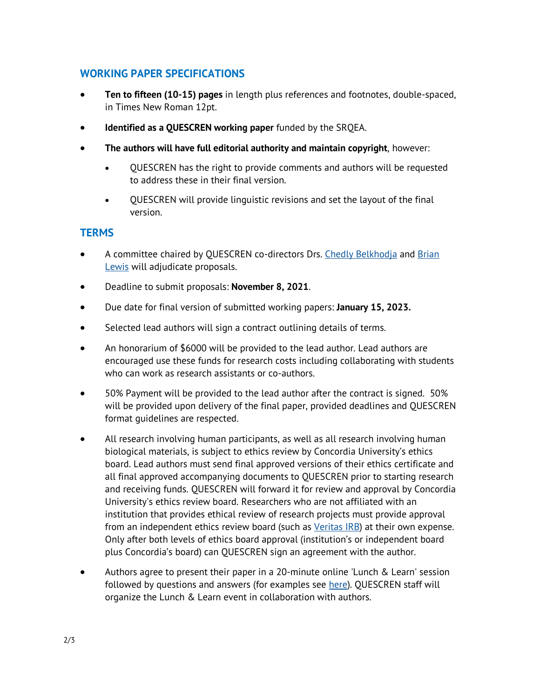## **WORKING PAPER SPECIFICATIONS**

- **Ten to fifteen (10-15) pages** in length plus references and footnotes, double-spaced, in Times New Roman 12pt.
- **Identified as a QUESCREN working paper** funded by the SRQEA.
- **The authors will have full editorial authority and maintain copyright**, however:
	- QUESCREN has the right to provide comments and authors will be requested to address these in their final version.
	- QUESCREN will provide linguistic revisions and set the layout of the final version.

### **TERMS**

- A committee chaired by QUESCREN co-directors Drs. [Chedly Belkhodja](http://www.concordia.ca/faculty/chedly-belkhodja.html) and [Brian](https://www.concordia.ca/artsci/coms/faculty.html?fpid=brian-lewis)  [Lewis](https://www.concordia.ca/artsci/coms/faculty.html?fpid=brian-lewis) will adjudicate proposals.
- Deadline to submit proposals: **November 8, 2021**.
- Due date for final version of submitted working papers: **January 15, 2023.**
- Selected lead authors will sign a contract outlining details of terms.
- An honorarium of \$6000 will be provided to the lead author. Lead authors are encouraged use these funds for research costs including collaborating with students who can work as research assistants or co-authors.
- 50% Payment will be provided to the lead author after the contract is signed. 50% will be provided upon delivery of the final paper, provided deadlines and QUESCREN format guidelines are respected.
- All research involving human participants, as well as all research involving human biological materials, is subject to ethics review by Concordia University's ethics board. Lead authors must send final approved versions of their ethics certificate and all final approved accompanying documents to QUESCREN prior to starting research and receiving funds. QUESCREN will forward it for review and approval by Concordia University's ethics review board. Researchers who are not affiliated with an institution that provides ethical review of research projects must provide approval from an independent ethics review board (such as [Veritas IRB\)](https://www.veritasirb.com/) at their own expense. Only after both levels of ethics board approval (institution's or independent board plus Concordia's board) can QUESCREN sign an agreement with the author.
- Authors agree to present their paper in a 20-minute online 'Lunch & Learn' session followed by questions and answers (for examples see [here\)](https://www.concordia.ca/artsci/scpa/quescren/events.html). QUESCREN staff will organize the Lunch & Learn event in collaboration with authors.